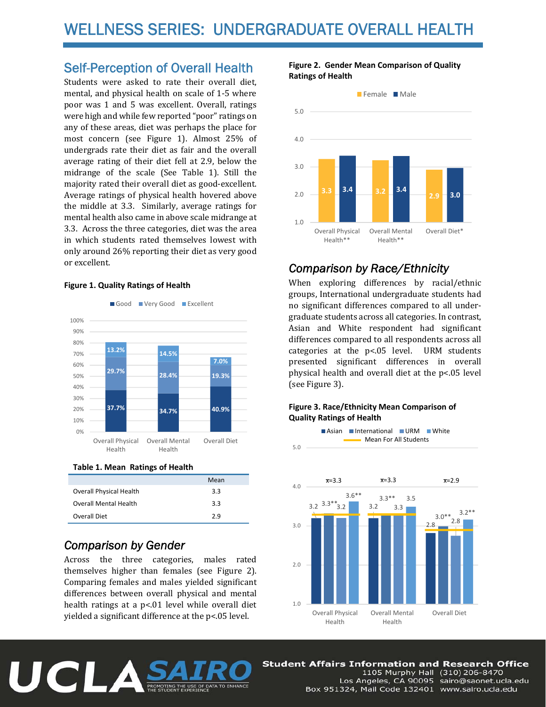## Self-Perception of Overall Health

Students were asked to rate their overall diet, mental, and physical health on scale of 1-5 where poor was 1 and 5 was excellent. Overall, ratings were high and while few reported "poor" ratings on any of these areas, diet was perhaps the place for most concern (see Figure 1). Almost 25% of undergrads rate their diet as fair and the overall average rating of their diet fell at 2.9, below the midrange of the scale (See Table 1). Still the majority rated their overall diet as good-excellent. Average ratings of physical health hovered above the middle at 3.3. Similarly, average ratings for mental health also came in above scale midrange at 3.3. Across the three categories, diet was the area in which students rated themselves lowest with only around 26% reporting their diet as very good or excellent.

#### **Figure 1. Quality Ratings of Health**



**Table 1. Mean Ratings of Health** 

|                                | Mean |
|--------------------------------|------|
| <b>Overall Physical Health</b> | 3.3  |
| <b>Overall Mental Health</b>   | 3.3  |
| Overall Diet                   | 2.9  |

## *Comparison by Gender*

Across the three categories, males rated themselves higher than females (see Figure 2). Comparing females and males yielded significant differences between overall physical and mental health ratings at a  $p<01$  level while overall diet yielded a significant difference at the  $p<05$  level.

### **Figure 2. Gender Mean Comparison of Quality Ratings of Health**



## *Comparison by Race/Ethnicity*

When exploring differences by racial/ethnic groups, International undergraduate students had no significant differences compared to all undergraduate students across all categories. In contrast, Asian and White respondent had significant differences compared to all respondents across all categories at the  $p<0.05$  level. URM students presented significant differences in overall physical health and overall diet at the p<.05 level (see Figure 3).

### **Figure 3. Race/Ethnicity Mean Comparison of Quality Ratings of Health**



**Student Affairs Information and Research Office** 



1105 Murphy Hall (310) 206-8470 Los Angeles, CA 90095 sairo@saonet.ucla.edu Box 951324, Mail Code 132401 www.sairo.ucla.edu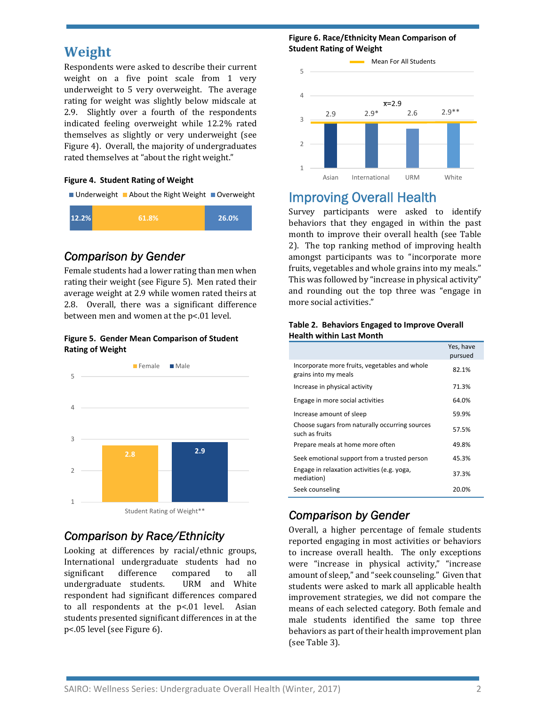# **Weight**

Respondents were asked to describe their current weight on a five point scale from  $1$  very underweight to 5 very overweight. The average rating for weight was slightly below midscale at 2.9. Slightly over a fourth of the respondents indicated feeling overweight while 12.2% rated themselves as slightly or very underweight (see Figure 4). Overall, the majority of undergraduates rated themselves at "about the right weight."

### **Figure 4. Student Rating of Weight**

 $\blacksquare$  Underweight  $\blacksquare$  About the Right Weight  $\blacksquare$  Overweight



## *Comparison by Gender*

Female students had a lower rating than men when rating their weight (see Figure 5). Men rated their average weight at 2.9 while women rated theirs at 2.8. Overall, there was a significant difference between men and women at the p<.01 level.

#### **Figure 5. Gender Mean Comparison of Student Rating of Weight**



## *Comparison by Race/Ethnicity*

Looking at differences by racial/ethnic groups, International undergraduate students had no significant difference compared to all undergraduate students. URM and White respondent had significant differences compared to all respondents at the  $p<01$  level. Asian students presented significant differences in at the p<.05 level (see Figure 6).

#### **Figure 6. Race/Ethnicity Mean Comparison of Student Rating of Weight**



# Improving Overall Health

Survey participants were asked to identify behaviors that they engaged in within the past month to improve their overall health (see Table 2). The top ranking method of improving health amongst participants was to "incorporate more fruits, vegetables and whole grains into my meals." This was followed by "increase in physical activity" and rounding out the top three was "engage in more social activities."

#### **Table 2. Behaviors Engaged to Improve Overall Health within Last Month**

|                                                                       | Yes, have<br>pursued |
|-----------------------------------------------------------------------|----------------------|
| Incorporate more fruits, vegetables and whole<br>grains into my meals | 82.1%                |
| Increase in physical activity                                         | 71.3%                |
| Engage in more social activities                                      | 64.0%                |
| Increase amount of sleep                                              | 59.9%                |
| Choose sugars from naturally occurring sources<br>such as fruits      | 57.5%                |
| Prepare meals at home more often                                      | 49.8%                |
| Seek emotional support from a trusted person                          | 45.3%                |
| Engage in relaxation activities (e.g. yoga,<br>mediation)             | 37.3%                |
| Seek counseling                                                       | 20.0%                |

# *Comparison by Gender*

Overall, a higher percentage of female students reported engaging in most activities or behaviors to increase overall health. The only exceptions were "increase in physical activity," "increase amount of sleep," and "seek counseling." Given that students were asked to mark all applicable health improvement strategies, we did not compare the means of each selected category. Both female and male students identified the same top three behaviors as part of their health improvement plan (see Table 3).